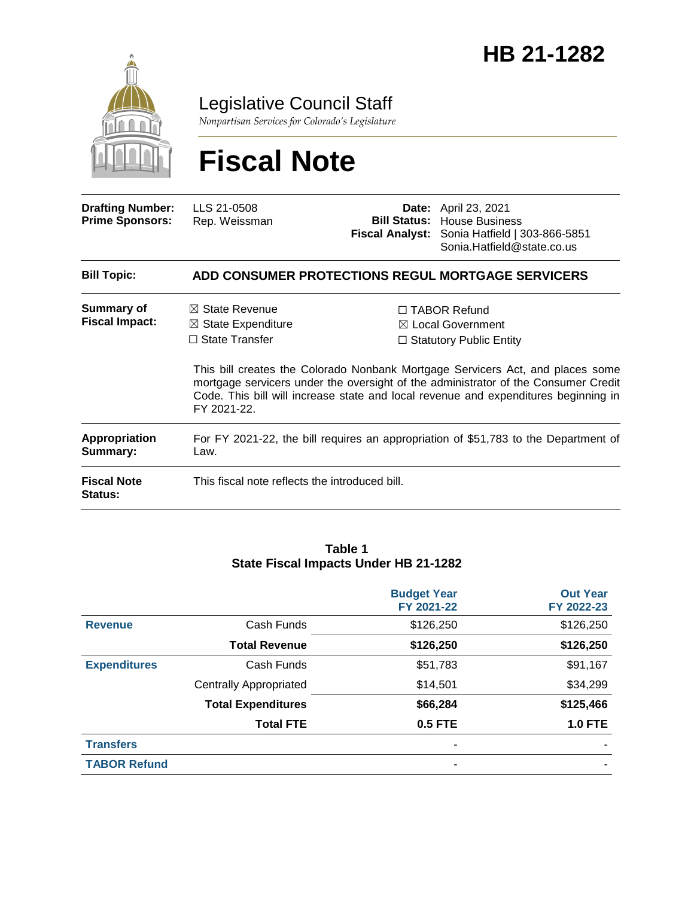

Legislative Council Staff

*Nonpartisan Services for Colorado's Legislature*

# **Fiscal Note**

| <b>Drafting Number:</b><br><b>Prime Sponsors:</b> | LLS 21-0508<br>Rep. Weissman                                                                                                                                                             |  | <b>Date:</b> April 23, 2021<br><b>Bill Status: House Business</b><br>Fiscal Analyst: Sonia Hatfield   303-866-5851<br>Sonia.Hatfield@state.co.us                        |  |
|---------------------------------------------------|------------------------------------------------------------------------------------------------------------------------------------------------------------------------------------------|--|-------------------------------------------------------------------------------------------------------------------------------------------------------------------------|--|
| <b>Bill Topic:</b>                                |                                                                                                                                                                                          |  | ADD CONSUMER PROTECTIONS REGUL MORTGAGE SERVICERS                                                                                                                       |  |
| Summary of<br><b>Fiscal Impact:</b>               | $\boxtimes$ State Revenue<br>$\boxtimes$ State Expenditure<br>$\Box$ State Transfer                                                                                                      |  | $\Box$ TABOR Refund<br>$\boxtimes$ Local Government<br>$\Box$ Statutory Public Entity<br>This bill creates the Colorado Nonbank Mortgage Servicers Act, and places some |  |
|                                                   | mortgage servicers under the oversight of the administrator of the Consumer Credit<br>Code. This bill will increase state and local revenue and expenditures beginning in<br>FY 2021-22. |  |                                                                                                                                                                         |  |
| <b>Appropriation</b><br>Summary:                  | For FY 2021-22, the bill requires an appropriation of \$51,783 to the Department of<br>Law.                                                                                              |  |                                                                                                                                                                         |  |
| <b>Fiscal Note</b><br>Status:                     | This fiscal note reflects the introduced bill.                                                                                                                                           |  |                                                                                                                                                                         |  |

#### **Table 1 State Fiscal Impacts Under HB 21-1282**

|                     |                               | <b>Budget Year</b><br>FY 2021-22 | <b>Out Year</b><br>FY 2022-23 |
|---------------------|-------------------------------|----------------------------------|-------------------------------|
| <b>Revenue</b>      | Cash Funds                    | \$126,250                        | \$126,250                     |
|                     | <b>Total Revenue</b>          | \$126,250                        | \$126,250                     |
| <b>Expenditures</b> | Cash Funds                    | \$51,783                         | \$91,167                      |
|                     | <b>Centrally Appropriated</b> | \$14,501                         | \$34,299                      |
|                     | <b>Total Expenditures</b>     | \$66,284                         | \$125,466                     |
|                     | <b>Total FTE</b>              | 0.5 FTE                          | <b>1.0 FTE</b>                |
| <b>Transfers</b>    |                               |                                  |                               |
| <b>TABOR Refund</b> |                               | ۰                                |                               |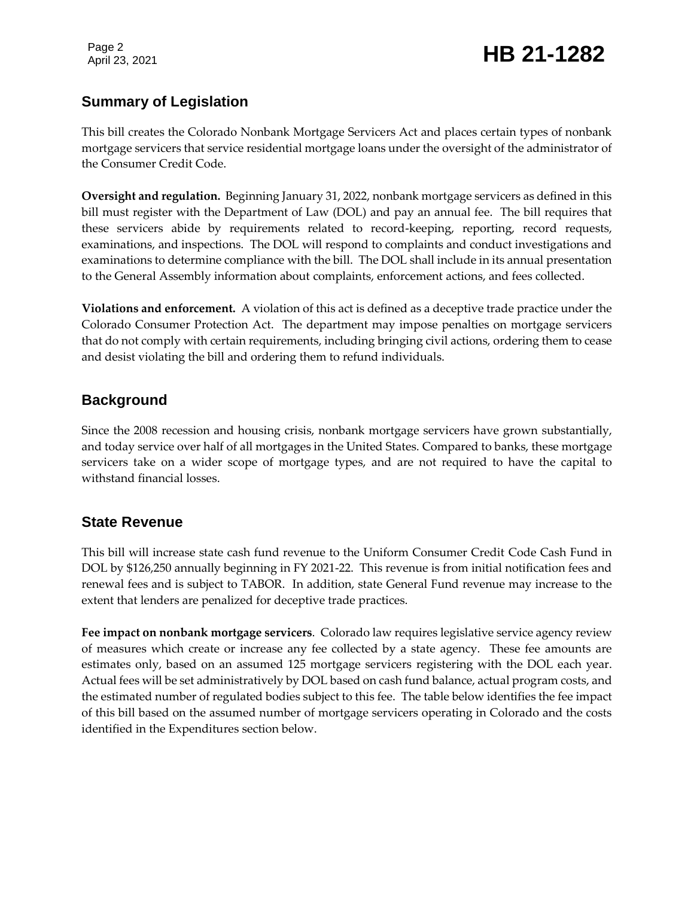Page 2

## Page 2<br>April 23, 2021 **HB 21-1282**

### **Summary of Legislation**

This bill creates the Colorado Nonbank Mortgage Servicers Act and places certain types of nonbank mortgage servicers that service residential mortgage loans under the oversight of the administrator of the Consumer Credit Code.

**Oversight and regulation.** Beginning January 31, 2022, nonbank mortgage servicers as defined in this bill must register with the Department of Law (DOL) and pay an annual fee. The bill requires that these servicers abide by requirements related to record-keeping, reporting, record requests, examinations, and inspections. The DOL will respond to complaints and conduct investigations and examinations to determine compliance with the bill. The DOL shall include in its annual presentation to the General Assembly information about complaints, enforcement actions, and fees collected.

**Violations and enforcement.** A violation of this act is defined as a deceptive trade practice under the Colorado Consumer Protection Act. The department may impose penalties on mortgage servicers that do not comply with certain requirements, including bringing civil actions, ordering them to cease and desist violating the bill and ordering them to refund individuals.

#### **Background**

Since the 2008 recession and housing crisis, nonbank mortgage servicers have grown substantially, and today service over half of all mortgages in the United States. Compared to banks, these mortgage servicers take on a wider scope of mortgage types, and are not required to have the capital to withstand financial losses.

### **State Revenue**

This bill will increase state cash fund revenue to the Uniform Consumer Credit Code Cash Fund in DOL by \$126,250 annually beginning in FY 2021-22. This revenue is from initial notification fees and renewal fees and is subject to TABOR. In addition, state General Fund revenue may increase to the extent that lenders are penalized for deceptive trade practices.

**Fee impact on nonbank mortgage servicers**. Colorado law requires legislative service agency review of measures which create or increase any fee collected by a state agency. These fee amounts are estimates only, based on an assumed 125 mortgage servicers registering with the DOL each year. Actual fees will be set administratively by DOL based on cash fund balance, actual program costs, and the estimated number of regulated bodies subject to this fee. The table below identifies the fee impact of this bill based on the assumed number of mortgage servicers operating in Colorado and the costs identified in the Expenditures section below.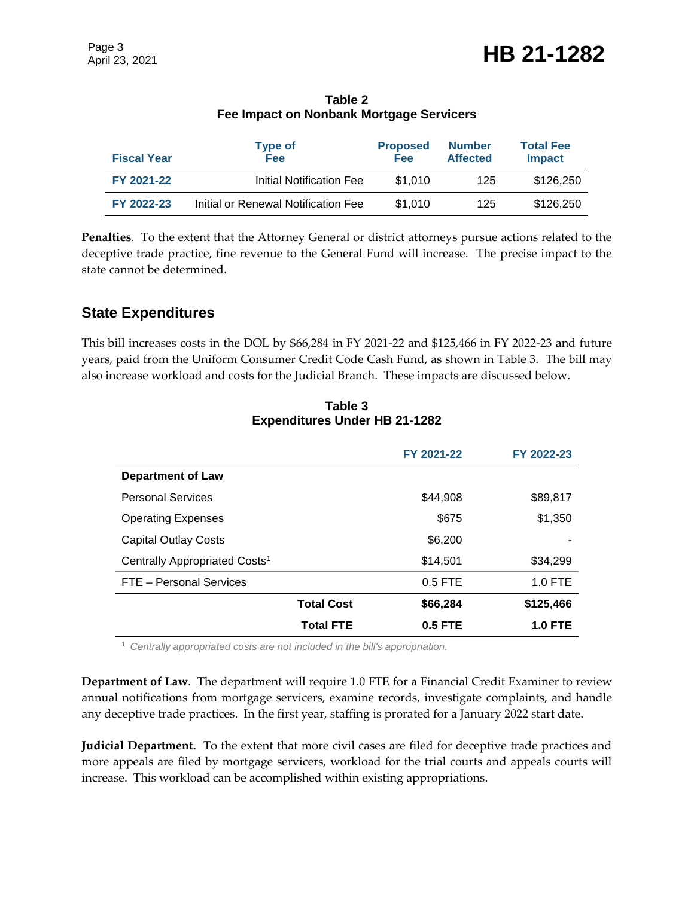| <b>Fiscal Year</b> | <b>Type of</b><br><b>Fee</b>        | <b>Proposed</b><br><b>Fee</b> | <b>Number</b><br><b>Affected</b> | <b>Total Fee</b><br><b>Impact</b> |
|--------------------|-------------------------------------|-------------------------------|----------------------------------|-----------------------------------|
| FY 2021-22         | Initial Notification Fee            | \$1,010                       | 125                              | \$126,250                         |
| FY 2022-23         | Initial or Renewal Notification Fee | \$1,010                       | 125                              | \$126,250                         |

**Table 2 Fee Impact on Nonbank Mortgage Servicers**

**Penalties**. To the extent that the Attorney General or district attorneys pursue actions related to the deceptive trade practice, fine revenue to the General Fund will increase. The precise impact to the state cannot be determined.

### **State Expenditures**

This bill increases costs in the DOL by \$66,284 in FY 2021-22 and \$125,466 in FY 2022-23 and future years, paid from the Uniform Consumer Credit Code Cash Fund, as shown in Table 3. The bill may also increase workload and costs for the Judicial Branch. These impacts are discussed below.

|                                           | FY 2021-22 | FY 2022-23     |
|-------------------------------------------|------------|----------------|
| <b>Department of Law</b>                  |            |                |
| <b>Personal Services</b>                  | \$44.908   | \$89,817       |
| <b>Operating Expenses</b>                 | \$675      | \$1,350        |
| <b>Capital Outlay Costs</b>               | \$6,200    |                |
| Centrally Appropriated Costs <sup>1</sup> | \$14,501   | \$34,299       |
| FTE - Personal Services                   | $0.5$ FTE  | $1.0$ FTE      |
| <b>Total Cost</b>                         | \$66,284   | \$125,466      |
| <b>Total FTE</b>                          | $0.5$ FTE  | <b>1.0 FTE</b> |

**Table 3 Expenditures Under HB 21-1282**

<sup>1</sup> *Centrally appropriated costs are not included in the bill's appropriation.*

**Department of Law**. The department will require 1.0 FTE for a Financial Credit Examiner to review annual notifications from mortgage servicers, examine records, investigate complaints, and handle any deceptive trade practices. In the first year, staffing is prorated for a January 2022 start date.

**Judicial Department.** To the extent that more civil cases are filed for deceptive trade practices and more appeals are filed by mortgage servicers, workload for the trial courts and appeals courts will increase. This workload can be accomplished within existing appropriations.